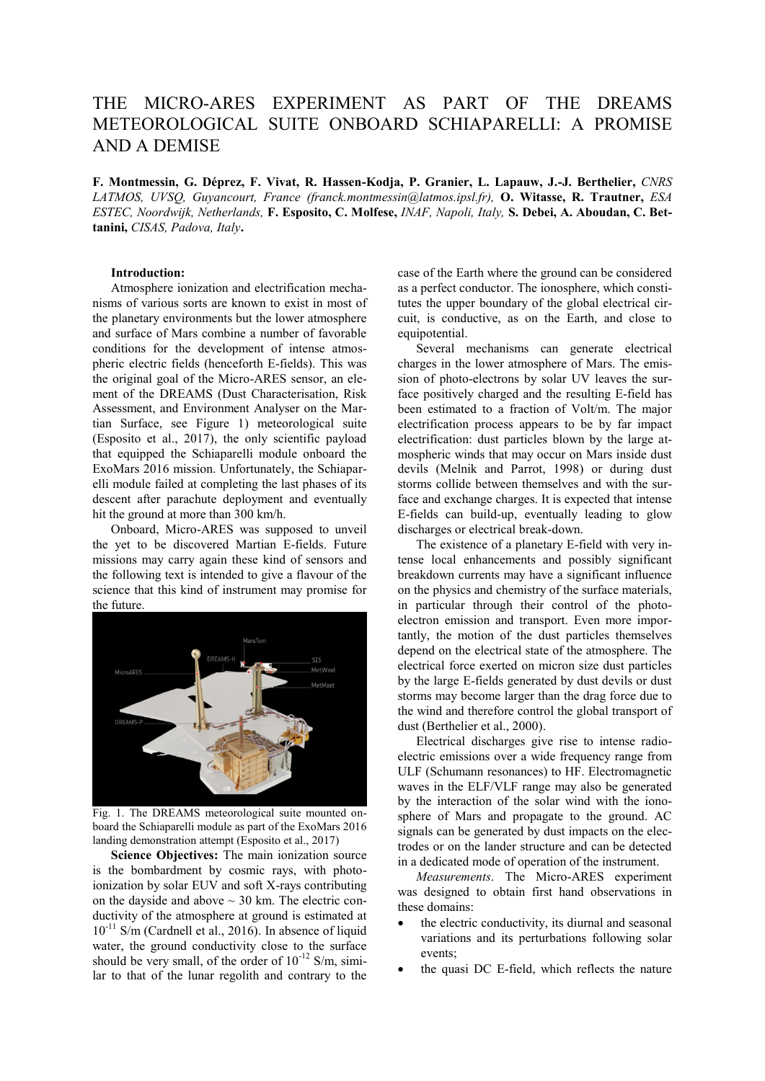## THE MICRO-ARES EXPERIMENT AS PART OF THE DREAMS METEOROLOGICAL SUITE ONBOARD SCHIAPARELLI: A PROMISE AND A DEMISE

**F. Montmessin, G. Déprez, F. Vivat, R. Hassen-Kodja, P. Granier, L. Lapauw, J.-J. Berthelier,** *CNRS LATMOS, UVSQ, Guyancourt, France (franck.montmessin@latmos.ipsl.fr),* **O. Witasse, R. Trautner,** *ESA ESTEC, Noordwijk, Netherlands,* **F. Esposito, C. Molfese,** *INAF, Napoli, Italy,* **S. Debei, A. Aboudan, C. Bettanini,** *CISAS, Padova, Italy***.**

## **Introduction:**

Atmosphere ionization and electrification mechanisms of various sorts are known to exist in most of the planetary environments but the lower atmosphere and surface of Mars combine a number of favorable conditions for the development of intense atmospheric electric fields (henceforth E-fields). This was the original goal of the Micro-ARES sensor, an element of the DREAMS (Dust Characterisation, Risk Assessment, and Environment Analyser on the Martian Surface, see Figure 1) meteorological suite (Esposito et al., 2017), the only scientific payload that equipped the Schiaparelli module onboard the ExoMars 2016 mission. Unfortunately, the Schiaparelli module failed at completing the last phases of its descent after parachute deployment and eventually hit the ground at more than 300 km/h.

Onboard, Micro-ARES was supposed to unveil the yet to be discovered Martian E-fields. Future missions may carry again these kind of sensors and the following text is intended to give a flavour of the science that this kind of instrument may promise for the future.



Fig. 1. The DREAMS meteorological suite mounted onboard the Schiaparelli module as part of the ExoMars 2016 landing demonstration attempt (Esposito et al., 2017)

**Science Objectives:** The main ionization source is the bombardment by cosmic rays, with photoionization by solar EUV and soft X-rays contributing on the dayside and above  $\sim$  30 km. The electric conductivity of the atmosphere at ground is estimated at  $10^{-11}$  S/m (Cardnell et al., 2016). In absence of liquid water, the ground conductivity close to the surface should be very small, of the order of  $10^{-12}$  S/m, similar to that of the lunar regolith and contrary to the

case of the Earth where the ground can be considered as a perfect conductor. The ionosphere, which constitutes the upper boundary of the global electrical circuit, is conductive, as on the Earth, and close to equipotential.

Several mechanisms can generate electrical charges in the lower atmosphere of Mars. The emission of photo-electrons by solar UV leaves the surface positively charged and the resulting E-field has been estimated to a fraction of Volt/m. The major electrification process appears to be by far impact electrification: dust particles blown by the large atmospheric winds that may occur on Mars inside dust devils (Melnik and Parrot, 1998) or during dust storms collide between themselves and with the surface and exchange charges. It is expected that intense E-fields can build-up, eventually leading to glow discharges or electrical break-down.

The existence of a planetary E-field with very intense local enhancements and possibly significant breakdown currents may have a significant influence on the physics and chemistry of the surface materials, in particular through their control of the photoelectron emission and transport. Even more importantly, the motion of the dust particles themselves depend on the electrical state of the atmosphere. The electrical force exerted on micron size dust particles by the large E-fields generated by dust devils or dust storms may become larger than the drag force due to the wind and therefore control the global transport of dust (Berthelier et al., 2000).

Electrical discharges give rise to intense radioelectric emissions over a wide frequency range from ULF (Schumann resonances) to HF. Electromagnetic waves in the ELF/VLF range may also be generated by the interaction of the solar wind with the ionosphere of Mars and propagate to the ground. AC signals can be generated by dust impacts on the electrodes or on the lander structure and can be detected in a dedicated mode of operation of the instrument.

*Measurements*. The Micro-ARES experiment was designed to obtain first hand observations in these domains:

- the electric conductivity, its diurnal and seasonal variations and its perturbations following solar events;
- the quasi DC E-field, which reflects the nature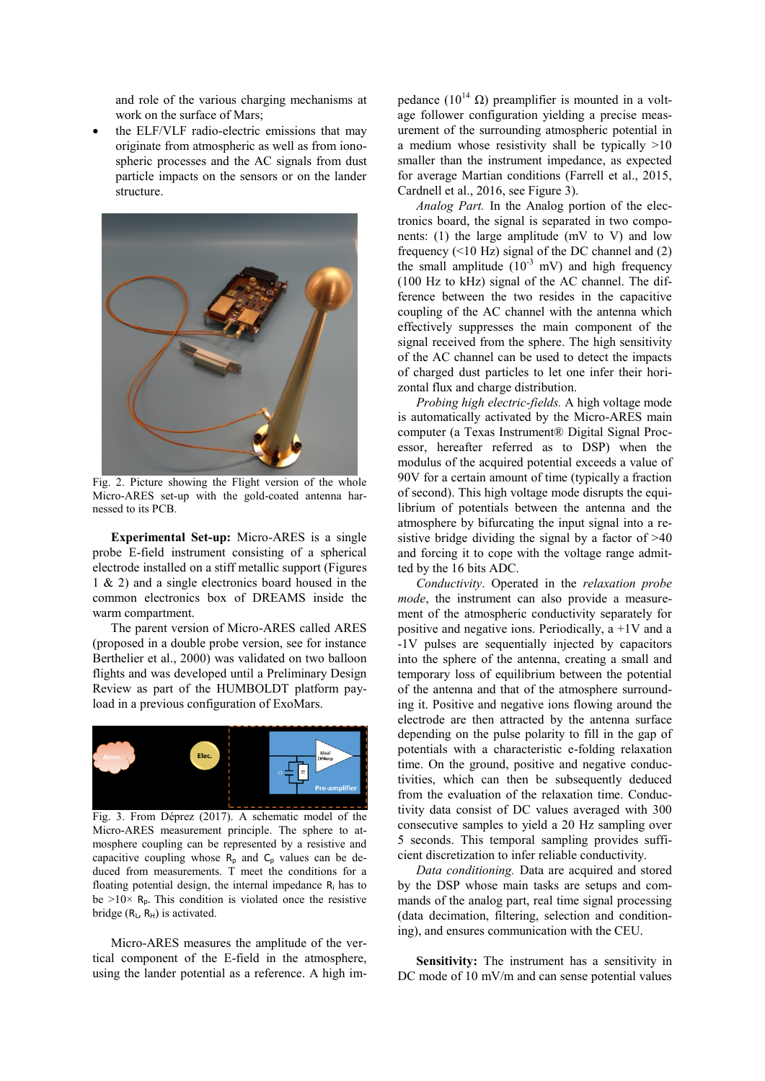and role of the various charging mechanisms at work on the surface of Mars;

 the ELF/VLF radio-electric emissions that may originate from atmospheric as well as from ionospheric processes and the AC signals from dust particle impacts on the sensors or on the lander structure.



Fig. 2. Picture showing the Flight version of the whole Micro-ARES set-up with the gold-coated antenna harnessed to its PCB.

**Experimental Set-up:** Micro-ARES is a single probe E-field instrument consisting of a spherical electrode installed on a stiff metallic support (Figures 1 & 2) and a single electronics board housed in the common electronics box of DREAMS inside the warm compartment.

The parent version of Micro-ARES called ARES (proposed in a double probe version, see for instance Berthelier et al., 2000) was validated on two balloon flights and was developed until a Preliminary Design Review as part of the HUMBOLDT platform payload in a previous configuration of ExoMars.



Fig. 3. From Déprez (2017). A schematic model of the Micro-ARES measurement principle. The sphere to atmosphere coupling can be represented by a resistive and capacitive coupling whose  $R_p$  and  $C_p$  values can be deduced from measurements. T meet the conditions for a floating potential design, the internal impedance  $R_i$  has to be  $>10\times$  R<sub>p</sub>. This condition is violated once the resistive bridge ( $R_L$ ,  $R_H$ ) is activated.

Micro-ARES measures the amplitude of the vertical component of the E-field in the atmosphere, using the lander potential as a reference. A high impedance ( $10^{14}$  Ω) preamplifier is mounted in a voltage follower configuration yielding a precise measurement of the surrounding atmospheric potential in a medium whose resistivity shall be typically >10 smaller than the instrument impedance, as expected for average Martian conditions (Farrell et al., 2015, Cardnell et al., 2016, see Figure 3).

*Analog Part.* In the Analog portion of the electronics board, the signal is separated in two components:  $(1)$  the large amplitude (mV to V) and low frequency (<10 Hz) signal of the DC channel and (2) the small amplitude  $(10^{-3} \text{ mV})$  and high frequency (100 Hz to kHz) signal of the AC channel. The difference between the two resides in the capacitive coupling of the AC channel with the antenna which effectively suppresses the main component of the signal received from the sphere. The high sensitivity of the AC channel can be used to detect the impacts of charged dust particles to let one infer their horizontal flux and charge distribution.

*Probing high electric-fields.* A high voltage mode is automatically activated by the Micro-ARES main computer (a Texas Instrument® Digital Signal Processor, hereafter referred as to DSP) when the modulus of the acquired potential exceeds a value of 90V for a certain amount of time (typically a fraction of second). This high voltage mode disrupts the equilibrium of potentials between the antenna and the atmosphere by bifurcating the input signal into a resistive bridge dividing the signal by a factor of >40 and forcing it to cope with the voltage range admitted by the 16 bits ADC.

*Conductivity*. Operated in the *relaxation probe mode*, the instrument can also provide a measurement of the atmospheric conductivity separately for positive and negative ions. Periodically, a +1V and a -1V pulses are sequentially injected by capacitors into the sphere of the antenna, creating a small and temporary loss of equilibrium between the potential of the antenna and that of the atmosphere surrounding it. Positive and negative ions flowing around the electrode are then attracted by the antenna surface depending on the pulse polarity to fill in the gap of potentials with a characteristic e-folding relaxation time. On the ground, positive and negative conductivities, which can then be subsequently deduced from the evaluation of the relaxation time. Conductivity data consist of DC values averaged with 300 consecutive samples to yield a 20 Hz sampling over 5 seconds. This temporal sampling provides sufficient discretization to infer reliable conductivity.

*Data conditioning.* Data are acquired and stored by the DSP whose main tasks are setups and commands of the analog part, real time signal processing (data decimation, filtering, selection and conditioning), and ensures communication with the CEU.

**Sensitivity:** The instrument has a sensitivity in DC mode of 10 mV/m and can sense potential values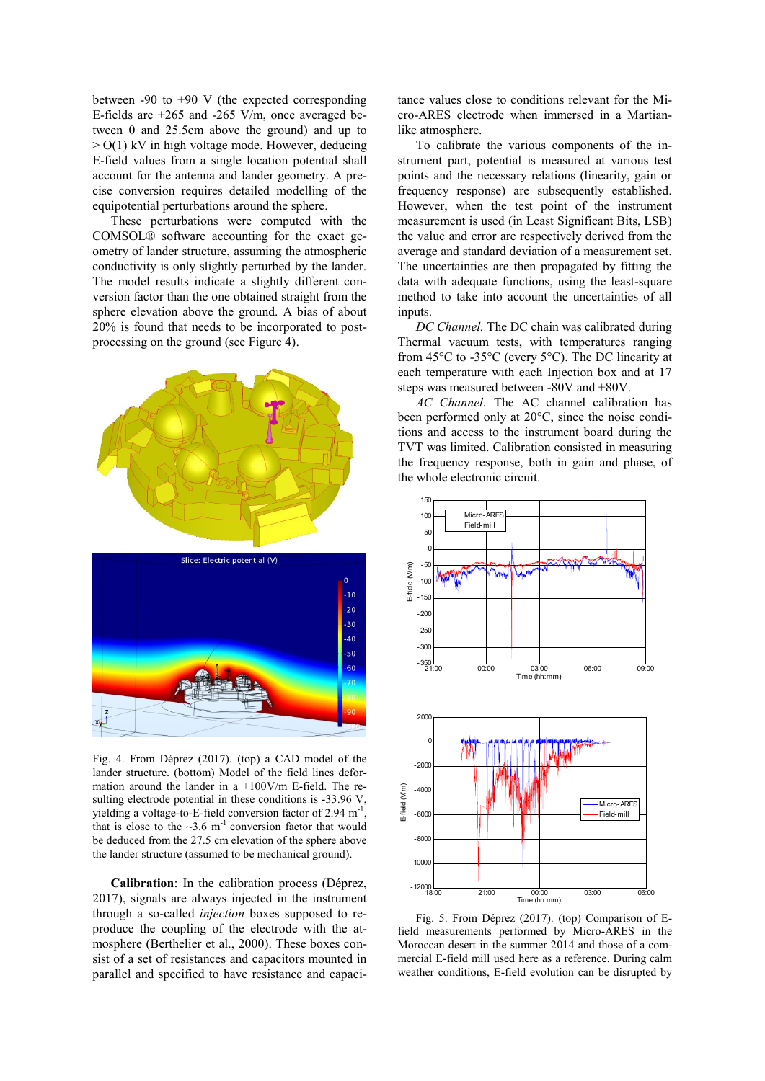between -90 to +90 V (the expected corresponding E-fields are +265 and -265 V/m, once averaged between 0 and 25.5cm above the ground) and up to  $>$  O(1) kV in high voltage mode. However, deducing E-field values from a single location potential shall account for the antenna and lander geometry. A precise conversion requires detailed modelling of the equipotential perturbations around the sphere.

These perturbations were computed with the COMSOL® software accounting for the exact geometry of lander structure, assuming the atmospheric conductivity is only slightly perturbed by the lander. The model results indicate a slightly different conversion factor than the one obtained straight from the sphere elevation above the ground. A bias of about 20% is found that needs to be incorporated to postprocessing on the ground (see Figure 4).



Fig. 4. From Déprez (2017). (top) a CAD model of the lander structure. (bottom) Model of the field lines deformation around the lander in a +100V/m E-field. The resulting electrode potential in these conditions is -33.96 V, yielding a voltage-to-E-field conversion factor of 2.94 m<sup>-1</sup> , that is close to the  $\sim$ 3.6 m<sup>-1</sup> conversion factor that would be deduced from the 27.5 cm elevation of the sphere above the lander structure (assumed to be mechanical ground).

**Calibration**: In the calibration process (Déprez, 2017), signals are always injected in the instrument through a so-called *injection* boxes supposed to reproduce the coupling of the electrode with the atmosphere (Berthelier et al., 2000). These boxes consist of a set of resistances and capacitors mounted in parallel and specified to have resistance and capacitance values close to conditions relevant for the Micro-ARES electrode when immersed in a Martianlike atmosphere.

To calibrate the various components of the instrument part, potential is measured at various test points and the necessary relations (linearity, gain or frequency response) are subsequently established. However, when the test point of the instrument measurement is used (in Least Significant Bits, LSB) the value and error are respectively derived from the average and standard deviation of a measurement set. The uncertainties are then propagated by fitting the data with adequate functions, using the least-square method to take into account the uncertainties of all inputs.

*DC Channel.* The DC chain was calibrated during Thermal vacuum tests, with temperatures ranging from 45°C to -35°C (every 5°C). The DC linearity at each temperature with each Injection box and at 17 steps was measured between -80V and +80V.

*AC Channel.* The AC channel calibration has been performed only at 20°C, since the noise conditions and access to the instrument board during the TVT was limited. Calibration consisted in measuring the frequency response, both in gain and phase, of the whole electronic circuit.



Fig. 5. From Déprez (2017). (top) Comparison of Efield measurements performed by Micro-ARES in the Moroccan desert in the summer 2014 and those of a commercial E-field mill used here as a reference. During calm weather conditions, E-field evolution can be disrupted by